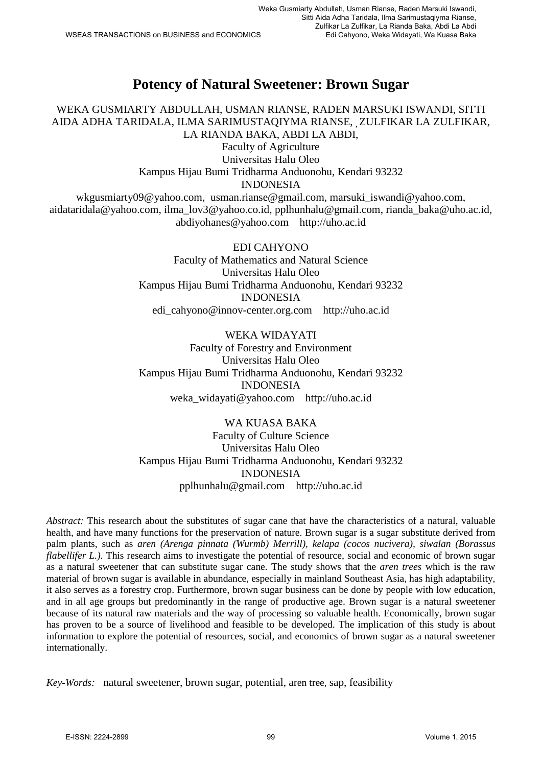# **Potency of Natural Sweetener: Brown Sugar**

WEKA GUSMIARTY ABDULLAH, USMAN RIANSE, RADEN MARSUKI ISWANDI, SITTI AIDA ADHA TARIDALA, ILMA SARIMUSTAQIYMA RIANSE, , ZULFIKAR LA ZULFIKAR, LA RIANDA BAKA, ABDI LA ABDI,

Faculty of Agriculture Universitas Halu Oleo Kampus Hijau Bumi Tridharma Anduonohu, Kendari 93232 INDONESIA [wkgusmiarty09@yahoo.com,](mailto:wkgusmiarty09@yahoo.com) [usman.rianse@gmail.com,](mailto:usman.rianse@gmail.com) marsuki iswandi@yahoo.com, [aidataridala@yahoo.com,](mailto:aidataridala@yahoo.com) [ilma\\_lov3@yahoo.co.id,](mailto:ilma_lov3@yahoo.co.id) [pplhunhalu@gmail.com,](mailto:pplhunhalu@gmail.com) [rianda\\_baka@uho.ac.id,](mailto:rianda_baka@uho.ac.id)

[abdiyohanes@yahoo.com](mailto:abdiyohanes@yahoo.com) [http://uho.ac.id](http://uho.ac.id/)

EDI CAHYONO Faculty of Mathematics and Natural Science Universitas Halu Oleo Kampus Hijau Bumi Tridharma Anduonohu, Kendari 93232 INDONESIA [edi\\_cahyono@innov-center.org.com](mailto:edi_cahyono@innov-center.org.com) [http://uho.ac.id](http://uho.ac.id/)

WEKA WIDAYATI Faculty of Forestry and Environment Universitas Halu Oleo Kampus Hijau Bumi Tridharma Anduonohu, Kendari 93232 INDONESIA [weka\\_widayati@yahoo.com](mailto:weka_widayati@yahoo.com) [http://uho.ac.id](http://uho.ac.id/)

WA KUASA BAKA Faculty of Culture Science Universitas Halu Oleo Kampus Hijau Bumi Tridharma Anduonohu, Kendari 93232 INDONESIA [pplhunhalu@gmail.com](mailto:pplhunhalu@gmail.com) [http://uho.ac.id](http://uho.ac.id/)

*Abstract:* This research about the substitutes of sugar cane that have the characteristics of a natural, valuable health, and have many functions for the preservation of nature. Brown sugar is a sugar substitute derived from palm plants, such as *aren (Arenga pinnata (Wurmb) Merrill), kelapa (cocos nucivera), siwalan (Borassus flabellifer L.*). This research aims to investigate the potential of resource, social and economic of brown sugar as a natural sweetener that can substitute sugar cane. The study shows that the *aren trees* which is the raw material of brown sugar is available in abundance, especially in mainland Southeast Asia, has high adaptability, it also serves as a forestry crop. Furthermore, brown sugar business can be done by people with low education, and in all age groups but predominantly in the range of productive age. Brown sugar is a natural sweetener because of its natural raw materials and the way of processing so valuable health. Economically, brown sugar has proven to be a source of livelihood and feasible to be developed. The implication of this study is about information to explore the potential of resources, social, and economics of brown sugar as a natural sweetener internationally.

*Key-Words:* natural sweetener, brown sugar, potential, aren tree, sap, feasibility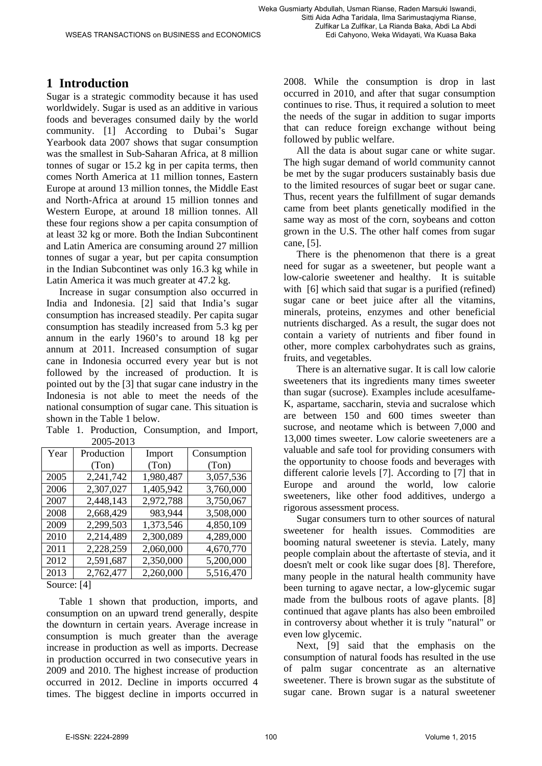#### **1 Introduction**

Sugar is a strategic commodity because it has used worldwidely. Sugar is used as an additive in various foods and beverages consumed daily by the world community. [1] According to Dubai's Sugar Yearbook data 2007 shows that sugar consumption was the smallest in Sub-Saharan Africa, at 8 million tonnes of sugar or 15.2 kg in per capita terms, then comes North America at 11 million tonnes, Eastern Europe at around 13 million tonnes, the Middle East and North-Africa at around 15 million tonnes and Western Europe, at around 18 million tonnes. All these four regions show a per capita consumption of at least 32 kg or more. Both the Indian Subcontinent and Latin America are consuming around 27 million tonnes of sugar a year, but per capita consumption in the Indian Subcontinet was only 16.3 kg while in Latin America it was much greater at 47.2 kg.

Increase in sugar consumption also occurred in India and Indonesia. [2] said that India's sugar consumption has increased steadily. Per capita sugar consumption has steadily increased from 5.3 kg per annum in the early 1960's to around 18 kg per annum at 2011. Increased consumption of sugar cane in Indonesia occurred every year but is not followed by the increased of production. It is pointed out by the [3] that sugar cane industry in the Indonesia is not able to meet the needs of the national consumption of sugar cane. This situation is shown in the Table 1 below.

Table 1. Production, Consumption, and Import, 2005-2013

| Year | Production | Import    | Consumption |
|------|------------|-----------|-------------|
|      | (Ton)      | (Ton)     | (Ton)       |
| 2005 | 2,241,742  | 1,980,487 | 3,057,536   |
| 2006 | 2,307,027  | 1,405,942 | 3,760,000   |
| 2007 | 2,448,143  | 2,972,788 | 3,750,067   |
| 2008 | 2,668,429  | 983,944   | 3,508,000   |
| 2009 | 2,299,503  | 1,373,546 | 4,850,109   |
| 2010 | 2,214,489  | 2,300,089 | 4,289,000   |
| 2011 | 2,228,259  | 2,060,000 | 4,670,770   |
| 2012 | 2,591,687  | 2,350,000 | 5,200,000   |
| 2013 | 2,762,477  | 2,260,000 | 5,516,470   |

Source: [4]

Table 1 shown that production, imports, and consumption on an upward trend generally, despite the downturn in certain years. Average increase in consumption is much greater than the average increase in production as well as imports. Decrease in production occurred in two consecutive years in 2009 and 2010. The highest increase of production occurred in 2012. Decline in imports occurred 4 times. The biggest decline in imports occurred in 2008. While the consumption is drop in last occurred in 2010, and after that sugar consumption continues to rise. Thus, it required a solution to meet the needs of the sugar in addition to sugar imports that can reduce foreign exchange without being followed by public welfare.

All the data is about sugar cane or white sugar. The high sugar demand of world community cannot be met by the sugar producers sustainably basis due to the limited resources of sugar beet or sugar cane. Thus, recent years the fulfillment of sugar demands came from beet plants genetically modified in the same way as most of the corn, soybeans and cotton grown in the U.S. The other half comes from sugar cane, [5].

There is the phenomenon that there is a great need for sugar as a sweetener, but people want a low-calorie sweetener and healthy. It is suitable with [6] which said that sugar is a purified (refined) sugar cane or beet juice after all the vitamins, minerals, proteins, enzymes and other beneficial nutrients discharged. As a result, the sugar does not contain a variety of nutrients and fiber found in other, more complex carbohydrates such as grains, fruits, and vegetables.

There is an alternative sugar. It is call low calorie sweeteners that its ingredients many times sweeter than sugar (sucrose). Examples include acesulfame-K, aspartame, saccharin, stevia and sucralose which are between 150 and 600 times sweeter than sucrose, and neotame which is between 7,000 and 13,000 times sweeter. Low calorie sweeteners are a valuable and safe tool for providing consumers with the opportunity to choose foods and beverages with different calorie levels [7]. According to [7] that in Europe and around the world, low calorie sweeteners, like other food additives, undergo a rigorous assessment process.

Sugar consumers turn to other sources of natural sweetener for health issues. Commodities are booming natural sweetener is stevia. Lately, many people complain about the aftertaste of stevia, and it doesn't melt or cook like sugar does [8]. Therefore, many people in the natural health community have been turning to agave nectar, a low-glycemic sugar made from the bulbous roots of agave plants. [8] continued that agave plants has also been embroiled in controversy about whether it is truly "natural" or even low glycemic.

Next, [9] said that the emphasis on the consumption of natural foods has resulted in the use of palm sugar concentrate as an alternative sweetener. There is brown sugar as the substitute of sugar cane. Brown sugar is a natural sweetener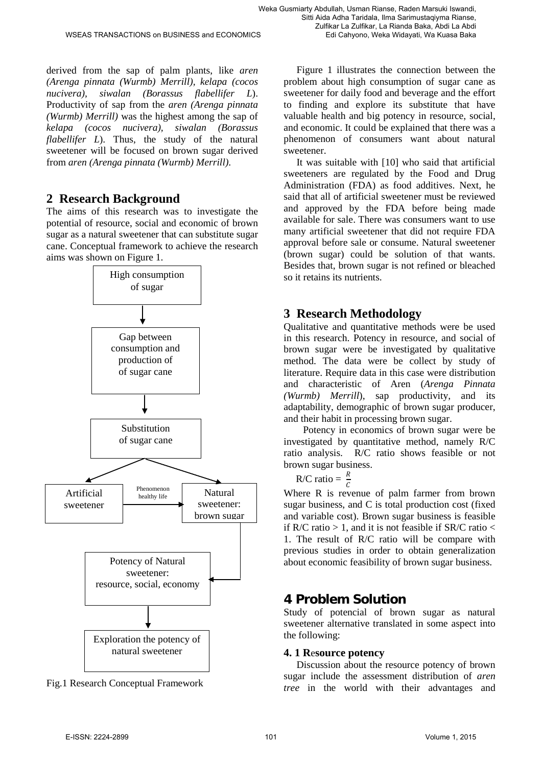derived from the sap of palm plants, like *aren (Arenga pinnata (Wurmb) Merrill), kelapa (cocos nucivera), siwalan (Borassus flabellifer L*). Productivity of sap from the *aren (Arenga pinnata (Wurmb) Merrill)* was the highest among the sap of *kelapa (cocos nucivera), siwalan (Borassus flabellifer L*). Thus, the study of the natural sweetener will be focused on brown sugar derived from *aren (Arenga pinnata (Wurmb) Merrill)*.

## **2 Research Background**

The aims of this research was to investigate the potential of resource, social and economic of brown sugar as a natural sweetener that can substitute sugar cane. Conceptual framework to achieve the research aims was shown on Figure 1.



Fig.1 Research Conceptual Framework

Figure 1 illustrates the connection between the problem about high consumption of sugar cane as sweetener for daily food and beverage and the effort to finding and explore its substitute that have valuable health and big potency in resource, social, and economic. It could be explained that there was a phenomenon of consumers want about natural sweetener.

It was suitable with [10] who said that artificial sweeteners are regulated by the Food and Drug Administration (FDA) as food additives. Next, he said that all of artificial sweetener must be reviewed and approved by the FDA before being made available for sale. There was consumers want to use many artificial sweetener that did not require FDA approval before sale or consume. Natural sweetener (brown sugar) could be solution of that wants. Besides that, brown sugar is not refined or bleached so it retains its nutrients.

## **3 Research Methodology**

Qualitative and quantitative methods were be used in this research. Potency in resource, and social of brown sugar were be investigated by qualitative method. The data were be collect by study of literature. Require data in this case were distribution and characteristic of Aren (*Arenga Pinnata (Wurmb) Merrill*), sap productivity, and its adaptability, demographic of brown sugar producer, and their habit in processing brown sugar.

Potency in economics of brown sugar were be investigated by quantitative method, namely R/C ratio analysis. R/C ratio shows feasible or not brown sugar business.

R/C ratio = 
$$
\frac{R}{c}
$$

Where R is revenue of palm farmer from brown sugar business, and C is total production cost (fixed and variable cost). Brown sugar business is feasible if R/C ratio  $> 1$ , and it is not feasible if SR/C ratio  $<$ 1. The result of R/C ratio will be compare with previous studies in order to obtain generalization about economic feasibility of brown sugar business.

## **4 Problem Solution**

Study of potencial of brown sugar as natural sweetener alternative translated in some aspect into the following:

### **4. 1 R**e**source potency**

Discussion about the resource potency of brown sugar include the assessment distribution of *aren tree* in the world with their advantages and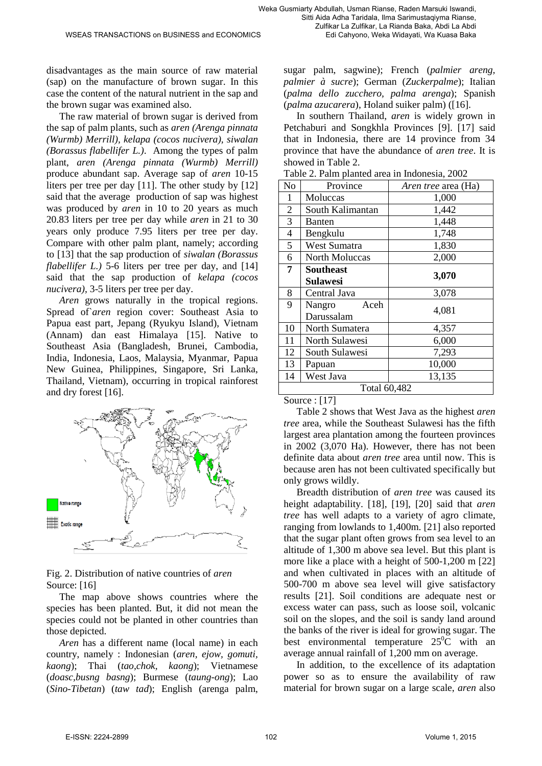Edi Cahyono, Weka Widayati, Wa Kuasa Baka

disadvantages as the main source of raw material (sap) on the manufacture of brown sugar. In this case the content of the natural nutrient in the sap and the brown sugar was examined also.

The raw material of brown sugar is derived from the sap of palm plants, such as *aren (Arenga pinnata (Wurmb) Merrill), kelapa (cocos nucivera), siwalan (Borassus flabellifer L.)*. Among the types of palm plant, *aren (Arenga pinnata (Wurmb) Merrill)* produce abundant sap. Average sap of *aren* 10-15 liters per tree per day [11]. The other study by [12] said that the average production of sap was highest was produced by *aren* in 10 to 20 years as much 20.83 liters per tree per day while *aren* in 21 to 30 years only produce 7.95 liters per tree per day. Compare with other palm plant, namely; according to [13] that the sap production of *siwalan (Borassus flabellifer L.*) 5-6 liters per tree per day, and [14] said that the sap production of *kelapa (cocos nucivera),* 3-5 liters per tree per day.

*Aren* grows naturally in the tropical regions. Spread of *aren* region cover: Southeast Asia to Papua east part, Jepang (Ryukyu Island), Vietnam (Annam) dan east Himalaya [15]. Native to Southeast Asia (Bangladesh, Brunei, Cambodia, India, Indonesia, Laos, Malaysia, Myanmar, Papua New Guinea, Philippines, Singapore, Sri Lanka, Thailand, Vietnam), occurring in tropical rainforest and dry forest [16].



Fig. 2. Distribution of native countries of *aren* Source: [16]

The map above shows countries where the species has been planted. But, it did not mean the species could not be planted in other countries than those depicted.

*Aren* has a different name (local name) in each country, namely : Indonesian (*aren, ejow, gomuti, kaong*); Thai (*tao,chok, kaong*); Vietnamese (*doasc,busng basng*); Burmese (*taung-ong*); Lao (*Sino-Tibetan*) (*taw tad*); English (arenga palm, sugar palm, sagwine); French (*palmier areng, palmier à sucre*); German (*Zuckerpalme*); Italian (*palma dello zucchero, palma arenga*); Spanish (*palma azucarera*), Holand suiker palm) ([16].

In southern Thailand, *aren* is widely grown in Petchaburi and Songkhla Provinces [9]. [17] said that in Indonesia, there are 14 province from 34 province that have the abundance of *aren tree*. It is showed in Table 2.

| N <sub>o</sub> | Province         | <i>Aren tree</i> area (Ha) |  |  |  |
|----------------|------------------|----------------------------|--|--|--|
| 1              | Moluccas         | 1,000                      |  |  |  |
| $\overline{2}$ | South Kalimantan | 1,442                      |  |  |  |
| 3              | Banten           | 1,448                      |  |  |  |
| 4              | Bengkulu         | 1,748                      |  |  |  |
| 5              | West Sumatra     | 1,830                      |  |  |  |
| 6              | North Moluccas   | 2,000                      |  |  |  |
| 7              | <b>Southeast</b> |                            |  |  |  |
|                | Sulawesi         | 3,070                      |  |  |  |
| 8              | Central Java     | 3,078                      |  |  |  |
| 9              | Aceh<br>Nangro   | 4,081                      |  |  |  |
|                | Darussalam       |                            |  |  |  |
| 10             | North Sumatera   | 4,357                      |  |  |  |
| 11             | North Sulawesi   | 6,000                      |  |  |  |
| 12             | South Sulawesi   | 7,293                      |  |  |  |
| 13             | Papuan           | 10,000                     |  |  |  |
| 14             | West Java        | 13,135                     |  |  |  |
|                | Total 60,482     |                            |  |  |  |

Table 2. Palm planted area in Indonesia, 2002

Source : [17]

Table 2 shows that West Java as the highest *aren tree* area, while the Southeast Sulawesi has the fifth largest area plantation among the fourteen provinces in 2002 (3,070 Ha). However, there has not been definite data about *aren tree* area until now. This is because aren has not been cultivated specifically but only grows wildly.

Breadth distribution of *aren tree* was caused its height adaptability. [18], [19], [20] said that *aren tree* has well adapts to a variety of agro climate, ranging from lowlands to 1,400m. [21] also reported that the sugar plant often grows from sea level to an altitude of 1,300 m above sea level. But this plant is more like a place with a height of 500-1,200 m [22] and when cultivated in places with an altitude of 500-700 m above sea level will give satisfactory results [21]. Soil conditions are adequate nest or excess water can pass, such as loose soil, volcanic soil on the slopes, and the soil is sandy land around the banks of the river is ideal for growing sugar. The best environmental temperature  $25^{\circ}\text{C}$  with an average annual rainfall of 1,200 mm on average.

In addition, to the excellence of its adaptation power so as to ensure the availability of raw material for brown sugar on a large scale, *aren* also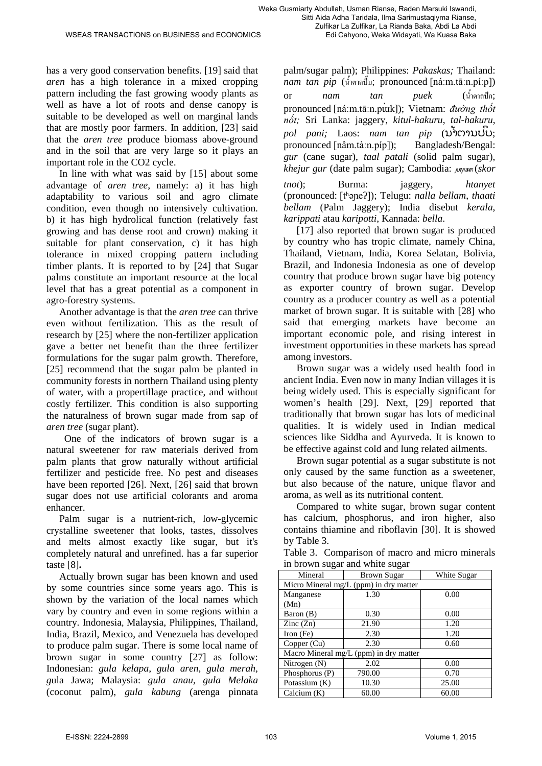palm/sugar palm); Philippines: *Pakaskas;* Thailand: Edi Cahyono, Weka Widayati, Wa Kuasa Baka

has a very good conservation benefits. [19] said that *aren* has a high tolerance in a mixed cropping pattern including the fast growing woody plants as well as have a lot of roots and dense canopy is suitable to be developed as well on marginal lands that are mostly poor farmers. In addition, [23] said that the *aren tree* produce biomass above-ground and in the soil that are very large so it plays an important role in the CO2 cycle.

In line with what was said by [15] about some advantage of *aren tree*, namely: a) it has high adaptability to various soil and agro climate condition, even though no intensively cultivation. b) it has high hydrolical function (relatively fast growing and has dense root and crown) making it suitable for plant conservation, c) it has high tolerance in mixed cropping pattern including timber plants. It is reported to by [24] that Sugar palms constitute an important resource at the local level that has a great potential as a component in agro-forestry systems.

Another advantage is that the *aren tree* can thrive even without fertilization. This as the result of research by [25] where the non-fertilizer application gave a better net benefit than the three fertilizer formulations for the sugar palm growth. Therefore, [25] recommend that the sugar palm be planted in community forests in northern Thailand using plenty of water, with a propertillage practice, and without costly fertilizer. This condition is also supporting the naturalness of brown sugar made from sap of *aren tree* (sugar plant).

 One of the indicators of brown sugar is a natural sweetener for raw materials derived from palm plants that grow naturally without artificial fertilizer and pesticide free. No pest and diseases have been reported [26]. Next, [26] said that brown sugar does not use artificial colorants and aroma enhancer.

Palm sugar is a nutrient-rich, low-glycemic crystalline sweetener that looks, tastes, dissolves and melts almost exactly like sugar, but it's completely natural and unrefined. has a far superior taste [8]**.**

Actually brown sugar has been known and used by some countries since some years ago. This is shown by the variation of the local names which vary by country and even in some regions within a country. Indonesia, Malaysia, Philippines, Thailand, India, Brazil, Mexico, and Venezuela has developed to produce palm sugar. There is some local name of brown sugar in some country [27] as follow: Indonesian: *gula kelapa*, *gula aren*, *gula merah*, *g*ula Jawa; Malaysia: *gula anau*, *gula Melaka*  [\(coconut palm\)](http://en.wikipedia.org/wiki/Coconut_palm), *gula kabung* [\(arenga pinnata](http://en.wikipedia.org/wiki/Arenga_pinnata) *nam tan pip* (น้ำตาลปี๊บ; pronounced [\[náːm.tāːn.píːp\]](http://en.wikipedia.org/wiki/Help:IPA_for_Thai_and_Lao)) **or** *nam tan puek* (น้ำตาลปีก; pronounced [[náːm](http://en.wikipedia.org/wiki/Help:IPA_for_Thai_and_Lao).tāːn.pùk]); Vietnam: *đường thốt nốt;* Sri Lanka: [jaggery,](http://en.wikipedia.org/wiki/Jaggery) *kitul-hakuru*, *tal-hakuru*, *pol pani;* Laos: *nam tan pip* (ນ**້**າຕານປິບ; pronounced [\[nâm.tàːn.píp\]](http://en.wikipedia.org/wiki/Help:IPA_for_Thai_and_Lao)); Bangladesh/Bengal: *gur* (cane sugar), *taal patali* (solid palm sugar), *khejur gur* [\(date palm](http://en.wikipedia.org/wiki/Date_palm) sugar); Cambodia:  $\mu$ <sub>nn</sub> sm (*skor tnot*); Burma: [jaggery,](http://en.wikipedia.org/wiki/Jaggery) *htanyet* (pronounced: [\[tʰəɲeʔ\]](http://en.wikipedia.org/wiki/Help:IPA_for_Burmese)); Telugu: *nalla bellam*, *thaati bellam* (Palm Jaggery); India disebut *kerala*, *karippati* atau *karipotti*, Kannada: *bella*.

[17] also reported that brown sugar is produced by country who has tropic climate, namely China, Thailand, Vietnam, India, Korea Selatan, Bolivia, Brazil, and Indonesia Indonesia as one of develop country that produce brown sugar have big potency as exporter country of brown sugar. Develop country as a producer country as well as a potential market of brown sugar. It is suitable with [28] who said that emerging markets have become an important economic pole, and rising interest in investment opportunities in these markets has spread among investors.

Brown sugar was a widely used health food in ancient India. Even now in many Indian villages it is being widely used. This is especially significant for women's health [29]. Next, [29] reported that traditionally that brown sugar has lots of medicinal qualities. It is widely used in Indian medical sciences like Siddha and Ayurveda. It is known to be effective against cold and lung related ailments.

Brown sugar potential as a sugar substitute is not only caused by the same function as a sweetener, but also because of the nature, unique flavor and aroma, as well as its nutritional content.

Compared to white sugar, brown sugar content has calcium, phosphorus, and iron higher, also contains thiamine and riboflavin [30]. It is showed by Table 3.

Table 3. Comparison of macro and micro minerals in brown sugar and white sugar

| Mineral                  | <b>Brown Sugar</b>                     | White Sugar |
|--------------------------|----------------------------------------|-------------|
|                          | Micro Mineral mg/L (ppm) in dry matter |             |
| Manganese                | 1.30                                   | 0.00        |
| (Mn)                     |                                        |             |
| Baron (B)                | 0.30                                   | 0.00        |
| $\text{Zinc}(\text{Zn})$ | 21.90                                  | 1.20        |
| Iron $(Fe)$              | 2.30                                   | 1.20        |
| Copper (Cu)              | 2.30                                   | 0.60        |
|                          | Macro Mineral mg/L (ppm) in dry matter |             |
| Nitrogen $(N)$           | 2.02                                   | 0.00        |
| Phosphorus (P)           | 790.00                                 | 0.70        |
| Potassium $(K)$          | 10.30                                  | 25.00       |
| Calcium $(K)$            | 60.00                                  | 60.00       |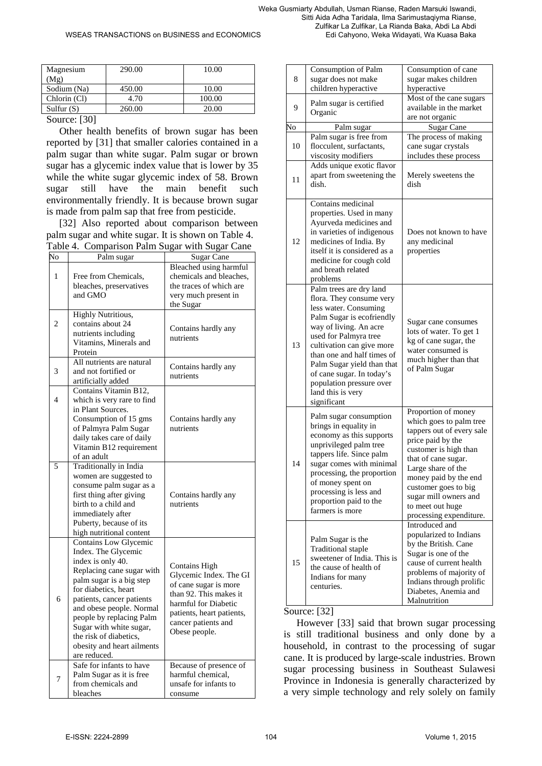| Magnesium    | 290.00 | 10.00  |
|--------------|--------|--------|
| (Mg)         |        |        |
| Sodium (Na)  | 450.00 | 10.00  |
| Chlorin (Cl) | 4.70   | 100.00 |
| Sulfur $(S)$ | 260.00 | 20.00  |

#### Source: [30]

Other health benefits of brown sugar has been reported by [31] that smaller calories contained in a palm sugar than white sugar. Palm sugar or brown sugar has a glycemic index value that is lower by 35 while the white sugar glycemic index of 58. Brown sugar still have the main benefit such environmentally friendly. It is because brown sugar is made from palm sap that free from pesticide.

[32] Also reported about comparison between palm sugar and white sugar. It is shown on Table 4. Table 4. Comparison Palm Sugar with Sugar Cane

| No             | Palm sugar                                                                                                                                                                                                                                                                                                                                 | <b>Sugar Cane</b>                                                                                                                                                                       |
|----------------|--------------------------------------------------------------------------------------------------------------------------------------------------------------------------------------------------------------------------------------------------------------------------------------------------------------------------------------------|-----------------------------------------------------------------------------------------------------------------------------------------------------------------------------------------|
| 1              | Free from Chemicals,<br>bleaches, preservatives<br>and GMO                                                                                                                                                                                                                                                                                 | Bleached using harmful<br>chemicals and bleaches,<br>the traces of which are<br>very much present in<br>the Sugar                                                                       |
| $\overline{c}$ | <b>Highly Nutritious,</b><br>contains about 24<br>nutrients including<br>Vitamins, Minerals and<br>Protein                                                                                                                                                                                                                                 | Contains hardly any<br>nutrients                                                                                                                                                        |
| 3              | All nutrients are natural<br>and not fortified or<br>artificially added                                                                                                                                                                                                                                                                    | Contains hardly any<br>nutrients                                                                                                                                                        |
| $\overline{4}$ | Contains Vitamin B12,<br>which is very rare to find<br>in Plant Sources.<br>Consumption of 15 gms<br>of Palmyra Palm Sugar<br>daily takes care of daily<br>Vitamin B12 requirement<br>of an adult                                                                                                                                          | Contains hardly any<br>nutrients                                                                                                                                                        |
| 5              | Traditionally in India<br>women are suggested to<br>consume palm sugar as a<br>first thing after giving<br>birth to a child and<br>immediately after<br>Puberty, because of its<br>high nutritional content                                                                                                                                | Contains hardly any<br>nutrients                                                                                                                                                        |
| 6              | Contains Low Glycemic<br>Index. The Glycemic<br>index is only 40.<br>Replacing cane sugar with<br>palm sugar is a big step<br>for diabetics, heart<br>patients, cancer patients<br>and obese people. Normal<br>people by replacing Palm<br>Sugar with white sugar,<br>the risk of diabetics,<br>obesity and heart ailments<br>are reduced. | Contains High<br>Glycemic Index. The GI<br>of cane sugar is more<br>than 92. This makes it<br>harmful for Diabetic<br>patients, heart patients,<br>cancer patients and<br>Obese people. |
| 7              | Safe for infants to have<br>Palm Sugar as it is free<br>from chemicals and<br>bleaches                                                                                                                                                                                                                                                     | Because of presence of<br>harmful chemical.<br>unsafe for infants to<br>consume                                                                                                         |

| 8  | Consumption of Palm<br>sugar does not make<br>children hyperactive                                                                                                                                                                                                                                                                                 | Consumption of cane<br>sugar makes children<br>hyperactive                                                                                                                                                                                                                                      |
|----|----------------------------------------------------------------------------------------------------------------------------------------------------------------------------------------------------------------------------------------------------------------------------------------------------------------------------------------------------|-------------------------------------------------------------------------------------------------------------------------------------------------------------------------------------------------------------------------------------------------------------------------------------------------|
| 9  | Palm sugar is certified<br>Organic                                                                                                                                                                                                                                                                                                                 | Most of the cane sugars<br>available in the market<br>are not organic                                                                                                                                                                                                                           |
| No | Palm sugar                                                                                                                                                                                                                                                                                                                                         | Sugar Cane                                                                                                                                                                                                                                                                                      |
| 10 | Palm sugar is free from<br>flocculent, surfactants,<br>viscosity modifiers                                                                                                                                                                                                                                                                         | The process of making<br>cane sugar crystals<br>includes these process                                                                                                                                                                                                                          |
| 11 | Adds unique exotic flavor<br>apart from sweetening the<br>dish.                                                                                                                                                                                                                                                                                    | Merely sweetens the<br>dish                                                                                                                                                                                                                                                                     |
| 12 | Contains medicinal<br>properties. Used in many<br>Ayurveda medicines and<br>in varieties of indigenous<br>medicines of India. By<br>itself it is considered as a<br>medicine for cough cold<br>and breath related<br>problems                                                                                                                      | Does not known to have<br>any medicinal<br>properties                                                                                                                                                                                                                                           |
| 13 | Palm trees are dry land<br>flora. They consume very<br>less water. Consuming<br>Palm Sugar is ecofriendly<br>way of living. An acre<br>used for Palmyra tree<br>cultivation can give more<br>than one and half times of<br>Palm Sugar yield than that<br>of cane sugar. In today's<br>population pressure over<br>land this is very<br>significant | Sugar cane consumes<br>lots of water. To get 1<br>kg of cane sugar, the<br>water consumed is<br>much higher than that<br>of Palm Sugar                                                                                                                                                          |
| 14 | Palm sugar consumption<br>brings in equality in<br>economy as this supports<br>unprivileged palm tree<br>tappers life. Since palm<br>sugar comes with minimal<br>processing, the proportion<br>of money spent on<br>processing is less and<br>proportion paid to the<br>farmers is more                                                            | Proportion of money<br>which goes to palm tree<br>tappers out of every sale<br>price paid by the<br>customer is high than<br>that of cane sugar.<br>Large share of the<br>money paid by the end<br>customer goes to big<br>sugar mill owners and<br>to meet out huge<br>processing expenditure. |
| 15 | Palm Sugar is the<br><b>Traditional</b> staple<br>sweetener of India. This is<br>the cause of health of<br>Indians for many<br>centuries.                                                                                                                                                                                                          | Introduced and<br>popularized to Indians<br>by the British. Cane<br>Sugar is one of the<br>cause of current health<br>problems of majority of<br>Indians through prolific<br>Diabetes, Anemia and<br>Malnutrition                                                                               |

#### Source: [32]

However [33] said that brown sugar processing is still traditional business and only done by a household, in contrast to the processing of sugar cane. It is produced by large-scale industries. Brown sugar processing business in Southeast Sulawesi Province in Indonesia is generally characterized by a very simple technology and rely solely on family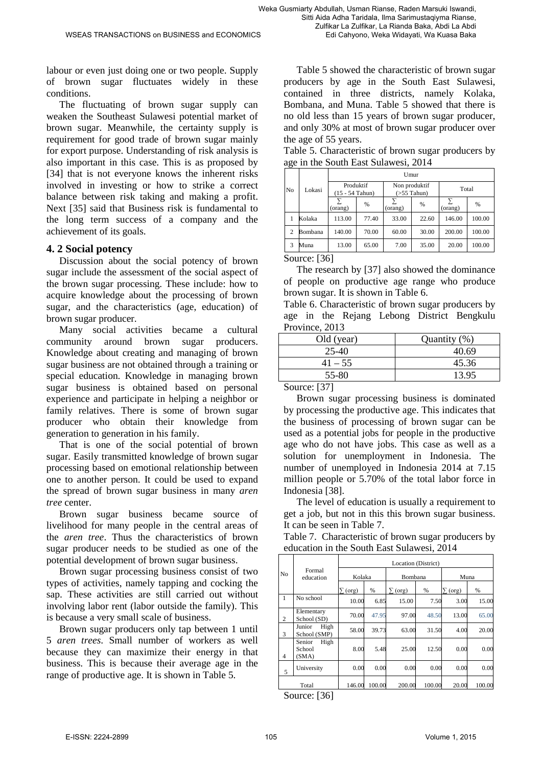labour or even just doing one or two people. Supply of brown sugar fluctuates widely in these conditions.

The fluctuating of brown sugar supply can weaken the Southeast Sulawesi potential market of brown sugar. Meanwhile, the certainty supply is requirement for good trade of brown sugar mainly for export purpose. Understanding of risk analysis is also important in this case. This is as proposed by [34] that is not everyone knows the inherent risks involved in investing or how to strike a correct balance between risk taking and making a profit. Next [35] said that Business risk is fundamental to the long term success of a company and the achievement of its goals.

#### **4. 2 Social potency**

Discussion about the social potency of brown sugar include the assessment of the social aspect of the brown sugar processing. These include: how to acquire knowledge about the processing of brown sugar, and the characteristics (age, education) of brown sugar producer.

Many social activities became a cultural community around brown sugar producers. Knowledge about creating and managing of brown sugar business are not obtained through a training or special education. Knowledge in managing brown sugar business is obtained based on personal experience and participate in helping a neighbor or family relatives. There is some of brown sugar producer who obtain their knowledge from generation to generation in his family.

That is one of the social potential of brown sugar. Easily transmitted knowledge of brown sugar processing based on emotional relationship between one to another person. It could be used to expand the spread of brown sugar business in many *aren tree* center.

Brown sugar business became source of livelihood for many people in the central areas of the *aren tree*. Thus the characteristics of brown sugar producer needs to be studied as one of the potential development of brown sugar business.

Brown sugar processing business consist of two types of activities, namely tapping and cocking the sap. These activities are still carried out without involving labor rent (labor outside the family). This is because a very small scale of business.

Brown sugar producers only tap between 1 until 5 *aren trees*. Small number of workers as well because they can maximize their energy in that business. This is because their average age in the range of productive age. It is shown in Table 5.

Table 5 showed the characteristic of brown sugar producers by age in the South East Sulawesi, contained in three districts, namely Kolaka, Bombana, and Muna. Table 5 showed that there is no old less than 15 years of brown sugar producer, and only 30% at most of brown sugar producer over the age of 55 years.

Table 5. Characteristic of brown sugar producers by age in the South East Sulawesi, 2014

|                |         | Umur                           |       |                                    |       |         |               |  |
|----------------|---------|--------------------------------|-------|------------------------------------|-------|---------|---------------|--|
| N <sub>0</sub> | Lokasi  | Produktif<br>$(15 - 54$ Tahun) |       | Non produktif<br>$($ >55 Tahun $)$ |       | Total   |               |  |
|                |         | (orang)                        | %     | (orang)                            | %     | (orang) | $\frac{0}{0}$ |  |
|                | Kolaka  | 113.00                         | 77.40 | 33.00                              | 22.60 | 146.00  | 100.00        |  |
| $\overline{c}$ | Bombana | 140.00                         | 70.00 | 60.00                              | 30.00 | 200.00  | 100.00        |  |
| 3              | Muna    | 13.00                          | 65.00 | 7.00                               | 35.00 | 20.00   | 100.00        |  |
|                | $C = 1$ |                                |       |                                    |       |         |               |  |

Source: [36]

The research by [37] also showed the dominance of people on productive age range who produce brown sugar. It is shown in Table 6.

Table 6. Characteristic of brown sugar producers by age in the Rejang Lebong District Bengkulu Province, 2013

| Old (year)         | Quantity (%) |
|--------------------|--------------|
| 25-40              | 40.69        |
| $41 - 55$          | 45.36        |
| 55-80              | 13.95        |
| $\sim$<br>$-2 - 1$ |              |

Source: [37]

Brown sugar processing business is dominated by processing the productive age. This indicates that the business of processing of brown sugar can be used as a potential jobs for people in the productive age who do not have jobs. This case as well as a solution for unemployment in Indonesia. The number of unemployed in Indonesia 2014 at 7.15 million people or 5.70% of the total labor force in Indonesia [38].

The level of education is usually a requirement to get a job, but not in this this brown sugar business. It can be seen in Table 7.

Table 7. Characteristic of brown sugar producers by education in the South East Sulawesi, 2014

|                |                                   | Location (District) |        |              |        |                |        |
|----------------|-----------------------------------|---------------------|--------|--------------|--------|----------------|--------|
| N <sub>0</sub> | Formal<br>education               | Kolaka              |        | Bombana      |        | Muna           |        |
|                |                                   | $\Sigma$ (org)      | %      | $\sum$ (org) | %      | $\Sigma$ (org) | %      |
| 1              | No school                         | 10.00               | 6.85   | 15.00        | 7.50   | 3.00           | 15.00  |
| 2              | Elementary<br>School (SD)         | 70.00               | 47.95  | 97.00        | 48.50  | 13.00          | 65.00  |
| 3              | High<br>Junior<br>School (SMP)    | 58.00               | 39.73  | 63.00        | 31.50  | 4.00           | 20.00  |
| $\overline{4}$ | Senior<br>High<br>School<br>(SMA) | 8.00                | 5.48   | 25.00        | 12.50  | 0.00           | 0.00   |
| 5              | University                        | 0.00                | 0.00   | 0.00         | 0.00   | 0.00           | 0.00   |
|                | Total                             | 146.00              | 100.00 | 200.00       | 100.00 | 20.00          | 100.00 |

Source: [36]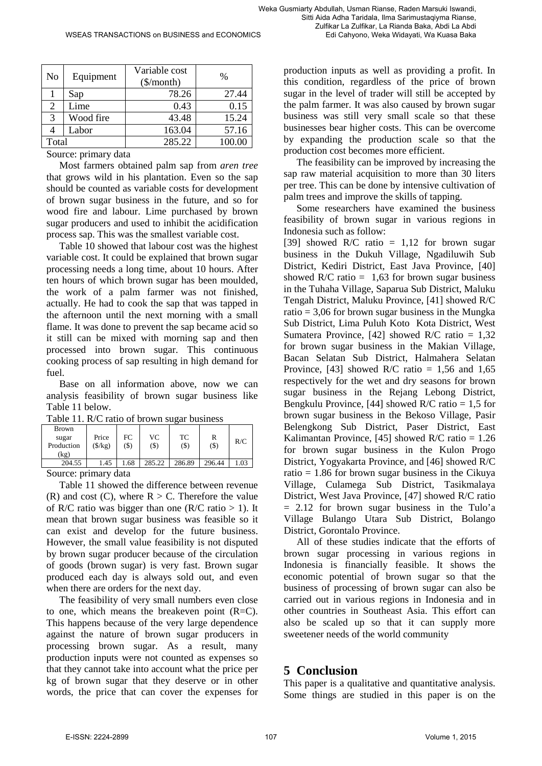Zulfikar La Zulfikar, La Rianda Baka, Abdi La Abdi Edi Cahyono, Weka Widayati, Wa Kuasa Baka

| N <sub>o</sub> | Equipment | Variable cost<br>$(\$/month)$ | $\frac{0}{0}$ |
|----------------|-----------|-------------------------------|---------------|
|                | Sap       | 78.26                         | 27.44         |
|                | Lime      | 0.43                          | 0.15          |
| 3              | Wood fire | 43.48                         | 15.24         |
|                | Labor     | 163.04                        | 57.16         |
| Total          |           | 285.22                        | 100.00        |

Source: primary data

Most farmers obtained palm sap from *aren tree* that grows wild in his plantation. Even so the sap should be counted as variable costs for development of brown sugar business in the future, and so for wood fire and labour. Lime purchased by brown sugar producers and used to inhibit the acidification process sap. This was the smallest variable cost.

Table 10 showed that labour cost was the highest variable cost. It could be explained that brown sugar processing needs a long time, about 10 hours. After ten hours of which brown sugar has been moulded, the work of a palm farmer was not finished, actually. He had to cook the sap that was tapped in the afternoon until the next morning with a small flame. It was done to prevent the sap became acid so it still can be mixed with morning sap and then processed into brown sugar. This continuous cooking process of sap resulting in high demand for fuel.

Base on all information above, now we can analysis feasibility of brown sugar business like Table 11 below.

| Table 11. R/C ratio of brown sugar business |  |  |
|---------------------------------------------|--|--|
|---------------------------------------------|--|--|

| <b>Brown</b> |                  |      |         |         |        |     |
|--------------|------------------|------|---------|---------|--------|-----|
| sugar        | Price            | FC   | VC      | TC      | R      | R/C |
| Production   | $(\frac{5}{kg})$ | (\$) | $($ \$) | $($ \$) | (3)    |     |
| kg           |                  |      |         |         |        |     |
| 204.55       | .45              | .68  | 285.22  | 286.89  | 296.44 |     |
| $\sim$       |                  | ۰    |         |         |        |     |

Source: primary data

Table 11 showed the difference between revenue (R) and cost (C), where  $R > C$ . Therefore the value of R/C ratio was bigger than one (R/C ratio  $> 1$ ). It mean that brown sugar business was feasible so it can exist and develop for the future business. However, the small value feasibility is not disputed by brown sugar producer because of the circulation of goods (brown sugar) is very fast. Brown sugar produced each day is always sold out, and even when there are orders for the next day.

The feasibility of very small numbers even close to one, which means the breakeven point (R=C). This happens because of the very large dependence against the nature of brown sugar producers in processing brown sugar. As a result, many production inputs were not counted as expenses so that they cannot take into account what the price per kg of brown sugar that they deserve or in other words, the price that can cover the expenses for production inputs as well as providing a profit. In this condition, regardless of the price of brown sugar in the level of trader will still be accepted by the palm farmer. It was also caused by brown sugar business was still very small scale so that these businesses bear higher costs. This can be overcome by expanding the production scale so that the production cost becomes more efficient.

The feasibility can be improved by increasing the sap raw material acquisition to more than 30 liters per tree. This can be done by intensive cultivation of palm trees and improve the skills of tapping.

Some researchers have examined the business feasibility of brown sugar in various regions in Indonesia such as follow:

[39] showed R/C ratio = 1,12 for brown sugar business in the Dukuh Village, Ngadiluwih Sub District, Kediri District, East Java Province, [40] showed R/C ratio =  $1,63$  for brown sugar business in the Tuhaha Village, Saparua Sub District, Maluku Tengah District, Maluku Province, [41] showed R/C ratio  $= 3.06$  for brown sugar business in the Mungka Sub District, Lima Puluh Koto Kota District, West Sumatera Province, [42] showed  $R/C$  ratio = 1,32 for brown sugar business in the Makian Village, Bacan Selatan Sub District, Halmahera Selatan Province, [43] showed R/C ratio =  $1,56$  and  $1,65$ respectively for the wet and dry seasons for brown sugar business in the Rejang Lebong District, Bengkulu Province, [44] showed  $R/C$  ratio = 1,5 for brown sugar business in the Bekoso Village, Pasir Belengkong Sub District, Paser District, East Kalimantan Province, [45] showed  $R/C$  ratio = 1.26 for brown sugar business in the Kulon Progo District, Yogyakarta Province, and [46] showed R/C ratio  $= 1.86$  for brown sugar business in the Cikuya Village, Culamega Sub District, Tasikmalaya District, West Java Province, [47] showed R/C ratio  $= 2.12$  for brown sugar business in the Tulo'a Village Bulango Utara Sub District, Bolango District, Gorontalo Province.

All of these studies indicate that the efforts of brown sugar processing in various regions in Indonesia is financially feasible. It shows the economic potential of brown sugar so that the business of processing of brown sugar can also be carried out in various regions in Indonesia and in other countries in Southeast Asia. This effort can also be scaled up so that it can supply more sweetener needs of the world community

## **5 Conclusion**

This paper is a qualitative and quantitative analysis. Some things are studied in this paper is on the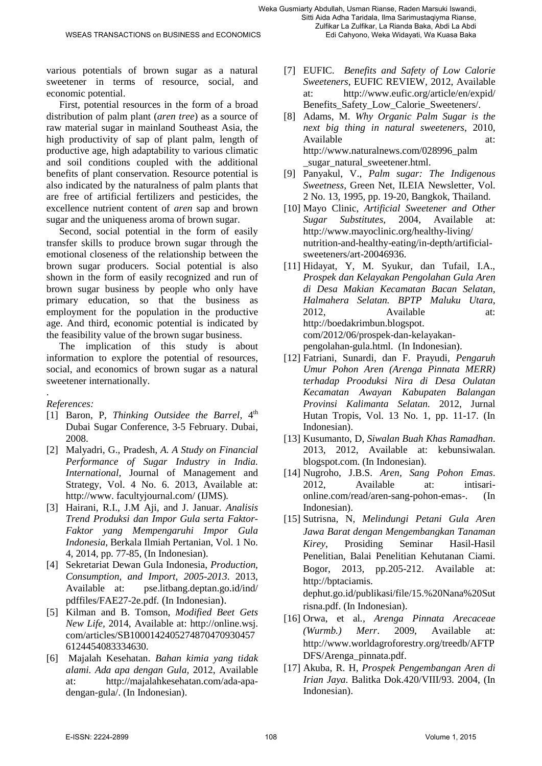various potentials of brown sugar as a natural sweetener in terms of resource, social, and economic potential.

First, potential resources in the form of a broad distribution of palm plant (*aren tree*) as a source of raw material sugar in mainland Southeast Asia, the high productivity of sap of plant palm, length of productive age, high adaptability to various climatic and soil conditions coupled with the additional benefits of plant conservation. Resource potential is also indicated by the naturalness of palm plants that are free of artificial fertilizers and pesticides, the excellence nutrient content of *aren* sap and brown sugar and the uniqueness aroma of brown sugar.

Second, social potential in the form of easily transfer skills to produce brown sugar through the emotional closeness of the relationship between the brown sugar producers. Social potential is also shown in the form of easily recognized and run of brown sugar business by people who only have primary education, so that the business as employment for the population in the productive age. And third, economic potential is indicated by the feasibility value of the brown sugar business.

The implication of this study is about information to explore the potential of resources, social, and economics of brown sugar as a natural sweetener internationally.

. *References:*

- [1] Baron, P, *Thinking Outsidee the Barrel*,  $4<sup>th</sup>$ Dubai Sugar Conference, 3-5 February. Dubai, 2008.
- [2] Malyadri, G., Pradesh*, A. A Study on Financial Performance of Sugar Industry in India. International*, Journal of Management and Strategy, Vol. 4 No. 6. 2013, Available at: http://www. facultyjournal.com/ (IJMS)*.*
- [3] Hairani, R.I., J.M Aji, and J. Januar. *Analisis Trend Produksi dan Impor Gula serta Faktor-Faktor yang Mempengaruhi Impor Gula Indonesia,* Berkala Ilmiah Pertanian, Vol. 1 No. 4, 2014, pp. 77-85, (In Indonesian).
- [4] Sekretariat Dewan Gula Indonesia, *Production, Consumption, and Import, 2005-2013*. 2013, Available at: pse.litbang.deptan.go.id/ind/ pdffiles/FAE27-2e.pdf*.* (In Indonesian).
- [5] Kilman and B. Tomson, *Modified Beet Gets New Life,* 2014, Available at: http://online.wsj. com/articles/SB1000142405274870470930457 6124454083334630.
- [6] Majalah Kesehatan. *Bahan kimia yang tidak alami. Ada apa dengan Gula,* 2012, Available [http://majalahkesehatan.com/ada-apa](http://majalahkesehatan.com/ada-apa-dengan-gula/)[dengan-gula/.](http://majalahkesehatan.com/ada-apa-dengan-gula/) (In Indonesian).
- [7] EUFIC. *Benefits and Safety of Low Calorie Sweeteners*, EUFIC REVIEW, 2012, Available at: [http://www.eufic.org/article/en/expid/](http://www.eufic.org/article/en/expid/%20Benefits_Safety_Low_Calorie_Sweeteners/)  [Benefits\\_Safety\\_Low\\_Calorie\\_Sweeteners/.](http://www.eufic.org/article/en/expid/%20Benefits_Safety_Low_Calorie_Sweeteners/)
- [8] Adams, M. *Why Organic Palm Sugar is the next big thing in natural sweeteners*, 2010, Available at: [http://www.naturalnews.com/028996\\_palm](http://www.naturalnews.com/028996_palm%20_sugar_natural_sweetener.html)  sugar natural sweetener.html.
- [9] Panyakul, V., *Palm sugar: The Indigenous Sweetness*, Green Net, ILEIA Newsletter, Vol. 2 No. 13, 1995, pp. 19-20, Bangkok, Thailand.
- [10] Mayo Clinic, *Artificial Sweetener and Other Sugar Substitutes*, 2004, Available at: [http://www.mayoclinic.org/healthy-living/](http://www.mayoclinic.org/healthy-living/%20nutrition-and-healthy-eating/in-depth/artificial-sweeteners/art-20046936)  [nutrition-and-healthy-eating/in-depth/artificial](http://www.mayoclinic.org/healthy-living/%20nutrition-and-healthy-eating/in-depth/artificial-sweeteners/art-20046936)[sweeteners/art-20046936.](http://www.mayoclinic.org/healthy-living/%20nutrition-and-healthy-eating/in-depth/artificial-sweeteners/art-20046936)
- [11] Hidayat, Y, M. Syukur, dan Tufail, I.A., *Prospek dan Kelayakan Pengolahan Gula Aren di Desa Makian Kecamatan Bacan Selatan, Halmahera Selatan. BPTP Maluku Utara*, 2012. Available at: http://boedakrimbun.blogspot. com/2012/06/prospek-dan-kelayakanpengolahan-gula.html. (In Indonesian).
- [12] Fatriani, Sunardi, dan F. Prayudi, *Pengaruh Umur Pohon Aren (Arenga Pinnata MERR) terhadap Prooduksi Nira di Desa Oulatan Kecamatan Awayan Kabupaten Balangan Provinsi Kalimanta Selatan.* 2012, Jurnal Hutan Tropis, Vol. 13 No. 1, pp. 11-17. (In Indonesian).
- [13] Kusumanto, D, *Siwalan Buah Khas Ramadhan*. 2013, 2012, Available at: kebunsiwalan. blogspot.com. (In Indonesian).
- [14] Nugroho, J.B.S. *Aren, Sang Pohon Emas*. 2012, Available at: intisarionline.com/read/aren-sang-pohon-emas-. (In Indonesian).
- [15] Sutrisna, N, *Melindungi Petani Gula Aren Jawa Barat dengan Mengembangkan Tanaman Kirey*, Prosiding Seminar Hasil-Hasil Penelitian, Balai Penelitian Kehutanan Ciami. Bogor, 2013, pp.205-212. Available at: http://bptaciamis. dephut.go.id/publikasi/file/15.%20Nana%20Sut risna.pdf. (In Indonesian).
- [16] Orwa, et al*., Arenga Pinnata Arecaceae (Wurmb.) Merr*. 2009, Available at: [http://www.worldagroforestry.org/treedb/AFTP](http://www.worldagroforestry.org/treedb/AFTPDFS/Arenga_pinnata.pdf) [DFS/Arenga\\_pinnata.pdf.](http://www.worldagroforestry.org/treedb/AFTPDFS/Arenga_pinnata.pdf)
- [17] Akuba, R. H, *Prospek Pengembangan Aren di Irian Jaya*. Balitka Dok.420/VIII/93. 2004, (In Indonesian).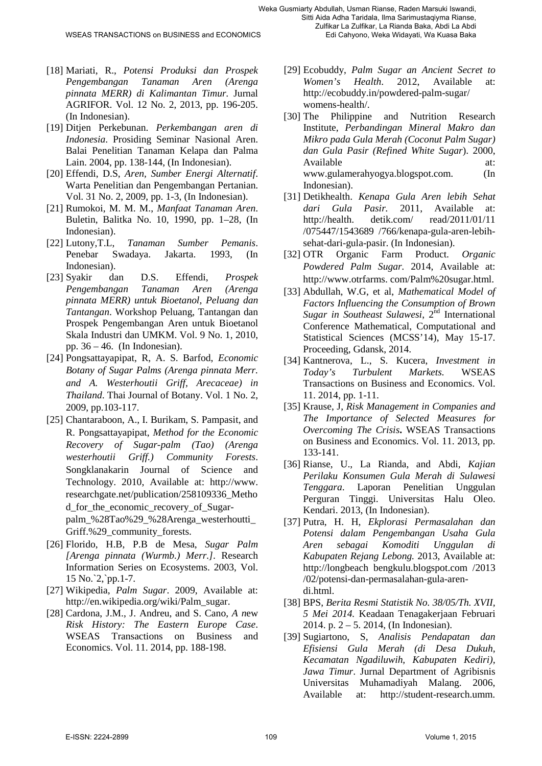- [18] Mariati, R., *Potensi Produksi dan Prospek Pengembangan Tanaman Aren (Arenga pinnata MERR) di Kalimantan Timur.* Jurnal AGRIFOR. Vol. 12 No. 2, 2013, pp. 196-205. (In Indonesian).
- [19] Ditjen Perkebunan. *Perkembangan aren di Indonesia*. Prosiding Seminar Nasional Aren. Balai Penelitian Tanaman Kelapa dan Palma Lain. 2004, pp. 138-144, (In Indonesian).
- [20] Effendi, D.S, *Aren, Sumber Energi Alternatif*. Warta Penelitian dan Pengembangan Pertanian. Vol. 31 No. 2, 2009, pp. 1-3, (In Indonesian).
- [21] Rumokoi, M. M. M., *Manfaat Tanaman Aren*. Buletin, Balitka No. 10, 1990, pp. 1–28, (In Indonesian).
- [22] Lutony,T.L, *Tanaman Sumber Pemanis*. Penebar Swadaya. Jakarta. 1993, (In Indonesian).
- [23] Syakir dan D.S. Effendi, *Prospek Pengembangan Tanaman Aren (Arenga pinnata MERR) untuk Bioetanol, Peluang dan Tantangan*. Workshop Peluang, Tantangan dan Prospek Pengembangan Aren untuk Bioetanol Skala Industri dan UMKM. Vol. 9 No. 1, 2010, pp. 36 – 46. (In Indonesian).
- [24] [Pongsattayapipat,](http://www.researchgate.net/profile/Ratchada_Pongsattayapipat) R, [A. S. Barfod,](http://www.researchgate.net/profile/Anders_Barfod2) *Economic Botany of Sugar Palms (Arenga pinnata Merr. and A. Westerhoutii Griff, Arecaceae) in Thailand*. Thai Journal of Botany. Vol. 1 No. 2, 2009, pp.103-117.
- [25] [Chantaraboon,](http://www.oalib.com/search?kw=Anucha%20Chantaraboon&searchField=authors) A., [I. Burikam,](http://www.oalib.com/search?kw=Intawat%20Burikam&searchField=authors) [S. Pampasit,](http://www.oalib.com/search?kw=Savent%20Pampasit&searchField=authors) and [R. Pongsattayapipat,](http://www.oalib.com/search?kw=Ratchada%20Pongsattayapipat&searchField=authors) *Method for the Economic Recovery of Sugar-palm (Tao) (Arenga westerhoutii Griff.) Community Forests*. [Songklanakarin Journal of Science and](http://www.oalib.com/journal/6074/1)  [Technology.](http://www.oalib.com/journal/6074/1) 2010, Available at: http://www. researchgate.net/publication/258109336\_Metho d\_for\_the\_economic\_recovery\_of\_Sugarpalm\_%28Tao%29\_%28Arenga\_westerhoutti\_ Griff.%29\_community\_forests.
- [26] Florido, H.B, P.B de Mesa, *Sugar Palm [Arenga pinnata (Wurmb.) Merr.]*. Research Information Series on Ecosystems. 2003, Vol. 15 No.`2,`pp.1-7.
- [27] Wikipedia, *Palm Sugar*. 2009, Available at: [http://en.wikipedia.org/wiki/Palm\\_sugar.](http://en.wikipedia.org/wiki/Palm_sugar)
- [28] Cardona, J.M., J. Andreu, and S. Cano, *A n*ew *Risk History: The Eastern Europe Case*. WSEAS Transactions on Business and Economics. Vol. 11. 2014, pp. 188-198.
- [29] Ecobuddy, *Palm Sugar an Ancient Secret to Women's Health*. 2012, Available at: [http://ecobuddy.in/powdered-palm-sugar/](http://ecobuddy.in/powdered-palm-sugar/%20womens-health/)  [womens-health/.](http://ecobuddy.in/powdered-palm-sugar/%20womens-health/)
- [30] The Philippine and Nutrition Research Institute, *Perbandingan Mineral Makro dan Mikro pada Gula Merah (Coconut Palm Sugar) dan Gula Pasir (Refined White Sugar*). 2000, Available at: [www.gulamerahyogya.blogspot.com.](http://www.gulamerahyogya.blogspot.com/) (In Indonesian).
- [31] Detikhealth. *Kenapa Gula Aren lebih Sehat dari Gula Pasir.* 2011, Available at: http://health. detik.com/ read/2011/01/11 /075447/1543689 /766/kenapa-gula-aren-lebihsehat-dari-gula-pasir. (In Indonesian).
- [32] OTR Organic Farm Product. *Organic Powdered Palm Sugar.* 2014, Available at: http://www.otrfarms. com/Palm%20sugar.html.
- [33] Abdullah, W.G, et al, *Mathematical Model of Factors Influencing the Consumption of Brown Sugar in Southeast Sulawesi*, 2<sup>nd</sup> International Conference Mathematical, Computational and Statistical Sciences (MCSS'14), May 15-17. Proceeding, Gdansk, 2014.
- [34] Kantnerova, L., S. Kucera, *Investment in Today's Turbulent Markets.* WSEAS Transactions on Business and Economics. Vol. 11. 2014, pp. 1-11.
- [35] Krause, J, *Risk Management in Companies and The Importance of Selected Measures for Overcoming The Crisis***.** WSEAS Transactions on Business and Economics. Vol. 11. 2013, pp. 133-141.
- [36] Rianse, U., La Rianda, and Abdi, *Kajian Perilaku Konsumen Gula Merah di Sulawesi Tenggara*. Laporan Penelitian Unggulan Perguran Tinggi. Universitas Halu Oleo. Kendari. 2013, (In Indonesian).
- [37] Putra, H. H, *Ekplorasi Permasalahan dan Potensi dalam Pengembangan Usaha Gula Aren sebagai Komoditi Unggulan di Kabupaten Rejang Lebong.* 2013, Available at: http://longbeach bengkulu.blogspot.com /2013 /02/potensi-dan-permasalahan-gula-arendi.html.
- [38] BPS, *Berita Resmi Statistik No. 38/05/Th. XVII, 5 Mei 2014.* Keadaan Tenagakerjaan Februari 2014. p. 2 – 5. 2014, (In Indonesian).
- [39] Sugiartono, S, *Analisis Pendapatan dan Efisiensi Gula Merah (di Desa Dukuh, Kecamatan Ngadiluwih, Kabupaten Kediri), Jawa Timur*. Jurnal Department of Agribisnis Universitas Muhamadiyah Malang. 2006, Available at: http://student-research.umm.